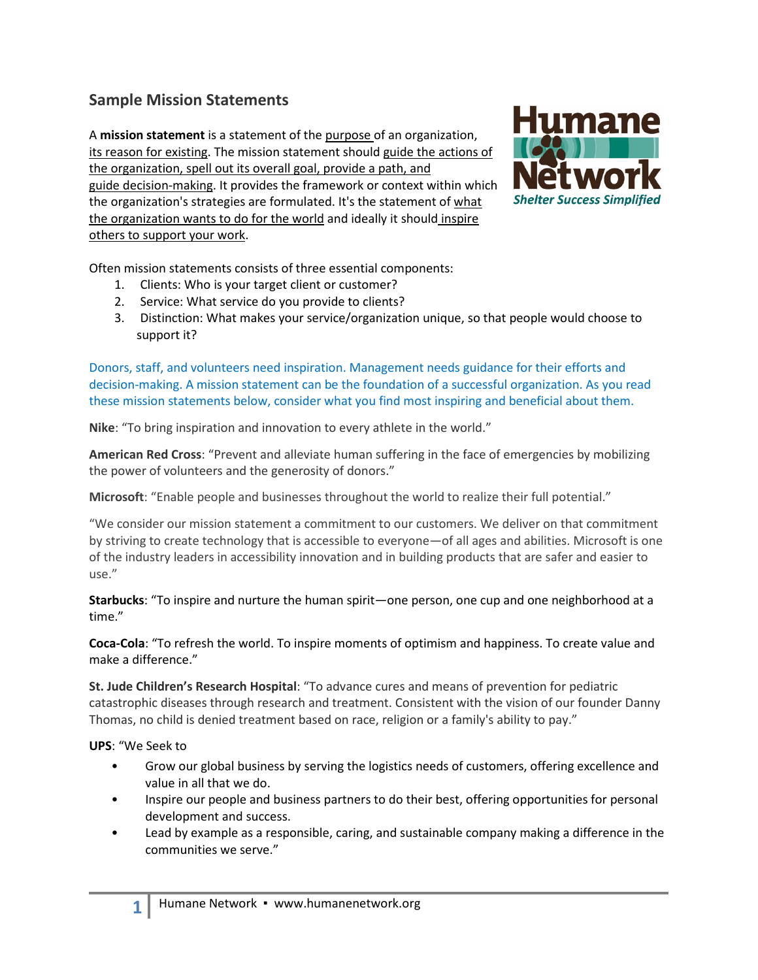## **Sample Mission Statements**

A **mission statement** is a statement of the purpose of an organization, its [reason for existing.](http://en.wikipedia.org/wiki/Reason_for_existing) The mission statement should guide the actions of the organization, spell out its overall goal, provide a path, and guide [decision-making.](http://en.wikipedia.org/wiki/Decision-making) It provides the framework or context within which the organization's strategies are formulated. It's the statement of what the organization wants to do for the world and ideally it should inspire others to support your work.



Often mission statements consists of three essential components:

- 1. Clients: Who is your target client or customer?
- 2. Service: What service do you provide to clients?
- 3. Distinction: What makes your service/organization unique, so that people would choose to support it?

Donors, staff, and volunteers need inspiration. Management needs guidance for their efforts and decision-making. A mission statement can be the foundation of a successful organization. As you read these mission statements below, consider what you find most inspiring and beneficial about them.

**Nike**: "To bring inspiration and innovation to every athlete in the world."

**American Red Cross**: "Prevent and alleviate human suffering in the face of emergencies by mobilizing the power of volunteers and the generosity of donors."

**Microsoft**: "Enable people and businesses throughout the world to realize their full potential."

"We consider our mission statement a commitment to our customers. We deliver on that commitment by striving to create technology that is accessible to everyone—of all ages and abilities. Microsoft is one of the industry leaders in accessibility innovation and in building products that are safer and easier to use."

**Starbucks**: "To inspire and nurture the human spirit—one person, one cup and one neighborhood at a time."

**Coca-Cola**: "To refresh the world. To inspire moments of optimism and happiness. To create value and make a difference."

**St. Jude Children's Research Hospital**: "To advance cures and means of prevention for pediatric catastrophic diseases through research and treatment. Consistent with the vision of our founder Danny Thomas, no child is denied treatment based on race, religion or a family's ability to pay."

**UPS**: "We Seek to

- Grow our global business by serving the logistics needs of customers, offering excellence and value in all that we do.
- Inspire our people and business partners to do their best, offering opportunities for personal development and success.
- Lead by example as a responsible, caring, and sustainable company making a difference in the communities we serve."